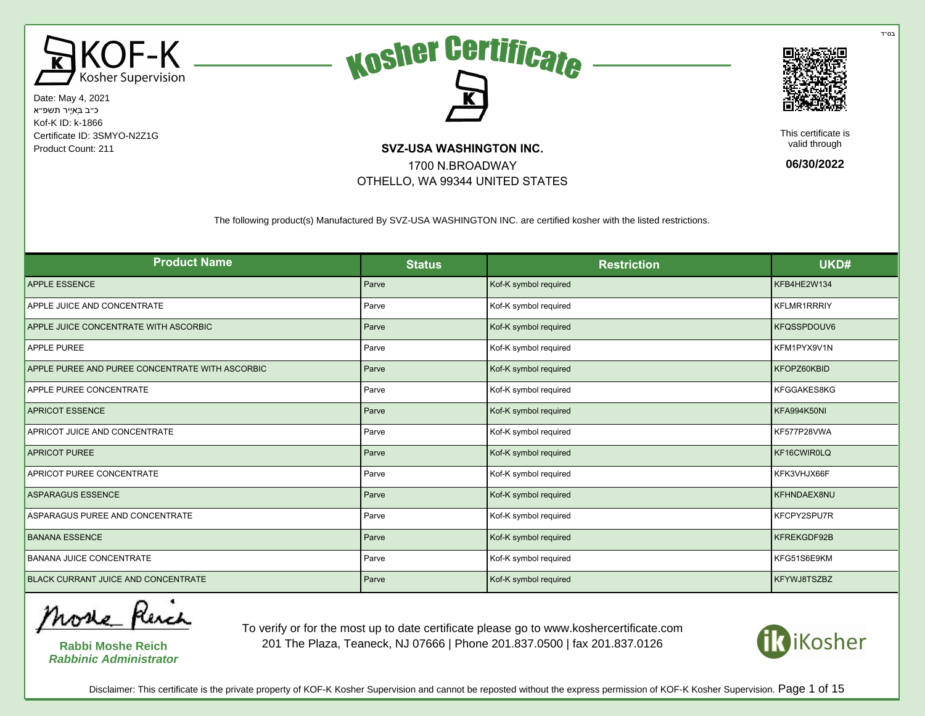





This certificate is valid through

**06/30/2022**

The following product(s) Manufactured By SVZ-USA WASHINGTON INC. are certified kosher with the listed restrictions.

1700 N.BROADWAY OTHELLO, WA 99344 UNITED STATES

| <b>Product Name</b>                             | <b>Status</b> | <b>Restriction</b>    | UKD#        |
|-------------------------------------------------|---------------|-----------------------|-------------|
| <b>APPLE ESSENCE</b>                            | Parve         | Kof-K symbol required | KFB4HE2W134 |
| APPLE JUICE AND CONCENTRATE                     | Parve         | Kof-K symbol required | KFLMR1RRRIY |
| APPLE JUICE CONCENTRATE WITH ASCORBIC           | Parve         | Kof-K symbol required | KFQSSPDOUV6 |
| <b>APPLE PUREE</b>                              | Parve         | Kof-K symbol required | KFM1PYX9V1N |
| APPLE PUREE AND PUREE CONCENTRATE WITH ASCORBIC | Parve         | Kof-K symbol required | KFOPZ60KBID |
| APPLE PUREE CONCENTRATE                         | Parve         | Kof-K symbol required | KFGGAKES8KG |
| <b>APRICOT ESSENCE</b>                          | Parve         | Kof-K symbol required | KFA994K50NI |
| APRICOT JUICE AND CONCENTRATE                   | Parve         | Kof-K symbol required | KF577P28VWA |
| <b>APRICOT PUREE</b>                            | Parve         | Kof-K symbol required | KF16CWIR0LQ |
| APRICOT PUREE CONCENTRATE                       | Parve         | Kof-K symbol required | KFK3VHJX66F |
| <b>ASPARAGUS ESSENCE</b>                        | Parve         | Kof-K symbol required | KFHNDAEX8NU |
| ASPARAGUS PUREE AND CONCENTRATE                 | Parve         | Kof-K symbol required | KFCPY2SPU7R |
| <b>BANANA ESSENCE</b>                           | Parve         | Kof-K symbol required | KFREKGDF92B |
| <b>BANANA JUICE CONCENTRATE</b>                 | Parve         | Kof-K symbol required | KFG51S6E9KM |
| <b>BLACK CURRANT JUICE AND CONCENTRATE</b>      | Parve         | Kof-K symbol required | KFYWJ8TSZBZ |

More Rench

**Rabbi Moshe Reich Rabbinic Administrator**

To verify or for the most up to date certificate please go to www.koshercertificate.com 201 The Plaza, Teaneck, NJ 07666 | Phone 201.837.0500 | fax 201.837.0126



Disclaimer: This certificate is the private property of KOF-K Kosher Supervision and cannot be reposted without the express permission of KOF-K Kosher Supervision. Page 1 of 15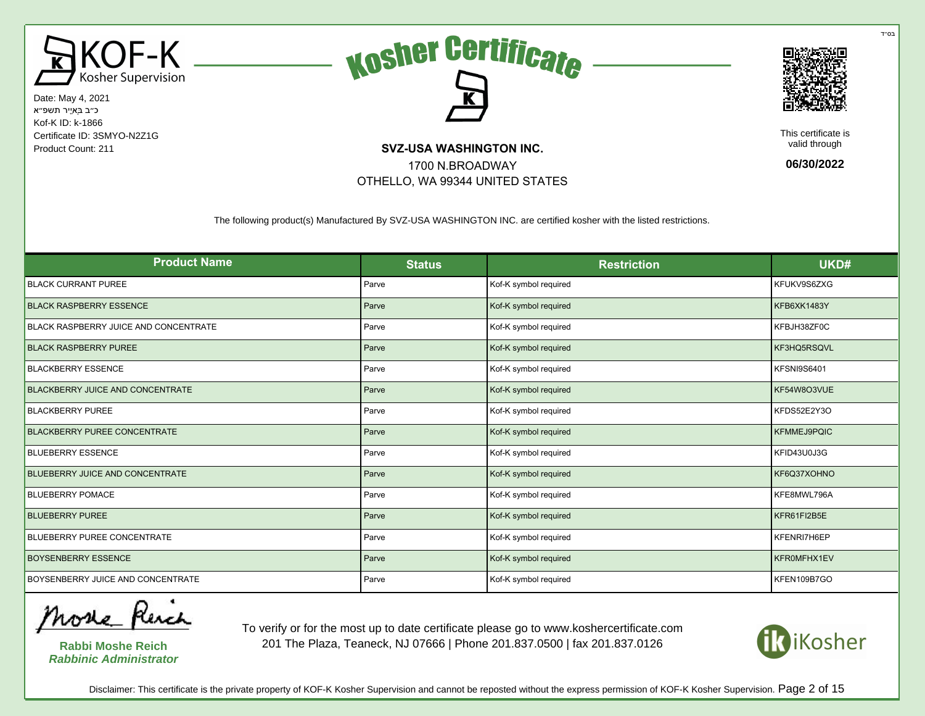





This certificate is valid through

**06/30/2022**

The following product(s) Manufactured By SVZ-USA WASHINGTON INC. are certified kosher with the listed restrictions.

1700 N.BROADWAY OTHELLO, WA 99344 UNITED STATES

| <b>Product Name</b>                     | <b>Status</b> | <b>Restriction</b>    | UKD#        |
|-----------------------------------------|---------------|-----------------------|-------------|
| <b>BLACK CURRANT PUREE</b>              | Parve         | Kof-K symbol required | KFUKV9S6ZXG |
| <b>BLACK RASPBERRY ESSENCE</b>          | Parve         | Kof-K symbol required | KFB6XK1483Y |
| BLACK RASPBERRY JUICE AND CONCENTRATE   | Parve         | Kof-K symbol required | KFBJH38ZF0C |
| <b>BLACK RASPBERRY PUREE</b>            | Parve         | Kof-K symbol required | KF3HQ5RSQVL |
| <b>BLACKBERRY ESSENCE</b>               | Parve         | Kof-K symbol required | KFSNI9S6401 |
| <b>BLACKBERRY JUICE AND CONCENTRATE</b> | Parve         | Kof-K symbol required | KF54W8O3VUE |
| <b>BLACKBERRY PUREE</b>                 | Parve         | Kof-K symbol required | KFDS52E2Y3O |
| <b>BLACKBERRY PUREE CONCENTRATE</b>     | Parve         | Kof-K symbol required | KFMMEJ9PQIC |
| <b>BLUEBERRY ESSENCE</b>                | Parve         | Kof-K symbol required | KFID43U0J3G |
| <b>BLUEBERRY JUICE AND CONCENTRATE</b>  | Parve         | Kof-K symbol required | KF6Q37XOHNO |
| <b>BLUEBERRY POMACE</b>                 | Parve         | Kof-K symbol required | KFE8MWL796A |
| <b>BLUEBERRY PUREE</b>                  | Parve         | Kof-K symbol required | KFR61FI2B5E |
| BLUEBERRY PUREE CONCENTRATE             | Parve         | Kof-K symbol required | KFENRI7H6EP |
| <b>BOYSENBERRY ESSENCE</b>              | Parve         | Kof-K symbol required | KFR0MFHX1EV |
| BOYSENBERRY JUICE AND CONCENTRATE       | Parve         | Kof-K symbol required | KFEN109B7GO |

More Rench

**Rabbi Moshe Reich Rabbinic Administrator**

To verify or for the most up to date certificate please go to www.koshercertificate.com 201 The Plaza, Teaneck, NJ 07666 | Phone 201.837.0500 | fax 201.837.0126



Disclaimer: This certificate is the private property of KOF-K Kosher Supervision and cannot be reposted without the express permission of KOF-K Kosher Supervision. Page 2 of 15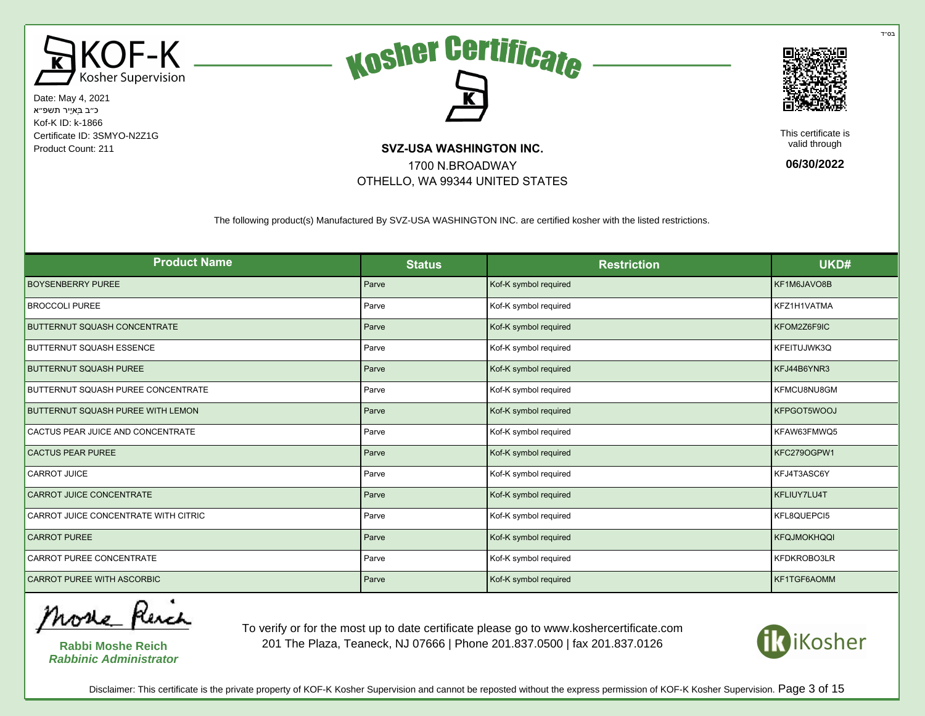





This certificate is valid through

**06/30/2022**

The following product(s) Manufactured By SVZ-USA WASHINGTON INC. are certified kosher with the listed restrictions.

1700 N.BROADWAY OTHELLO, WA 99344 UNITED STATES

| <b>Product Name</b>                  | <b>Status</b> | <b>Restriction</b>    | UKD#               |
|--------------------------------------|---------------|-----------------------|--------------------|
| <b>BOYSENBERRY PUREE</b>             | Parve         | Kof-K symbol required | KF1M6JAVO8B        |
| <b>BROCCOLI PUREE</b>                | Parve         | Kof-K symbol required | KFZ1H1VATMA        |
| <b>BUTTERNUT SQUASH CONCENTRATE</b>  | Parve         | Kof-K symbol required | KFOM2Z6F9IC        |
| <b>BUTTERNUT SQUASH ESSENCE</b>      | Parve         | Kof-K symbol required | KFEITUJWK3Q        |
| <b>BUTTERNUT SQUASH PUREE</b>        | Parve         | Kof-K symbol required | KFJ44B6YNR3        |
| BUTTERNUT SQUASH PUREE CONCENTRATE   | Parve         | Kof-K symbol required | KFMCU8NU8GM        |
| BUTTERNUT SQUASH PUREE WITH LEMON    | Parve         | Kof-K symbol required | KFPGOT5WOOJ        |
| CACTUS PEAR JUICE AND CONCENTRATE    | Parve         | Kof-K symbol required | KFAW63FMWQ5        |
| <b>CACTUS PEAR PUREE</b>             | Parve         | Kof-K symbol required | KFC279OGPW1        |
| <b>CARROT JUICE</b>                  | Parve         | Kof-K symbol required | KFJ4T3ASC6Y        |
| CARROT JUICE CONCENTRATE             | Parve         | Kof-K symbol required | KFLIUY7LU4T        |
| CARROT JUICE CONCENTRATE WITH CITRIC | Parve         | Kof-K symbol required | KFL8QUEPCI5        |
| <b>CARROT PUREE</b>                  | Parve         | Kof-K symbol required | <b>KFQJMOKHQQI</b> |
| CARROT PUREE CONCENTRATE             | Parve         | Kof-K symbol required | KFDKROBO3LR        |
| <b>CARROT PUREE WITH ASCORBIC</b>    | Parve         | Kof-K symbol required | KF1TGF6AOMM        |

More Rench

**Rabbi Moshe Reich Rabbinic Administrator**

To verify or for the most up to date certificate please go to www.koshercertificate.com 201 The Plaza, Teaneck, NJ 07666 | Phone 201.837.0500 | fax 201.837.0126



Disclaimer: This certificate is the private property of KOF-K Kosher Supervision and cannot be reposted without the express permission of KOF-K Kosher Supervision. Page 3 of 15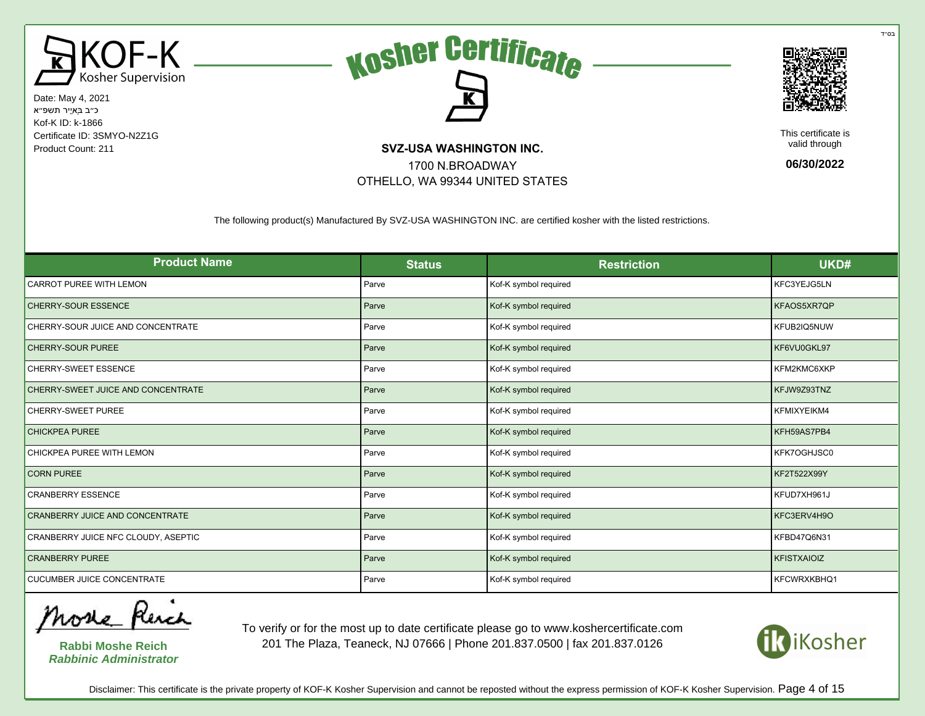





This certificate is valid through

**06/30/2022**

The following product(s) Manufactured By SVZ-USA WASHINGTON INC. are certified kosher with the listed restrictions.

1700 N.BROADWAY OTHELLO, WA 99344 UNITED STATES

| <b>Product Name</b>                    | <b>Status</b> | <b>Restriction</b>    | UKD#               |
|----------------------------------------|---------------|-----------------------|--------------------|
| CARROT PUREE WITH LEMON                | Parve         | Kof-K symbol required | KFC3YEJG5LN        |
| <b>CHERRY-SOUR ESSENCE</b>             | Parve         | Kof-K symbol required | KFAOS5XR7QP        |
| CHERRY-SOUR JUICE AND CONCENTRATE      | Parve         | Kof-K symbol required | KFUB2IQ5NUW        |
| <b>CHERRY-SOUR PUREE</b>               | Parve         | Kof-K symbol required | KF6VU0GKL97        |
| CHERRY-SWEET ESSENCE                   | Parve         | Kof-K symbol required | KFM2KMC6XKP        |
| CHERRY-SWEET JUICE AND CONCENTRATE     | Parve         | Kof-K symbol required | KFJW9Z93TNZ        |
| <b>CHERRY-SWEET PUREE</b>              | Parve         | Kof-K symbol required | KFMIXYEIKM4        |
| <b>CHICKPEA PUREE</b>                  | Parve         | Kof-K symbol required | KFH59AS7PB4        |
| CHICKPEA PUREE WITH LEMON              | Parve         | Kof-K symbol required | KFK7OGHJSC0        |
| <b>CORN PUREE</b>                      | Parve         | Kof-K symbol required | KF2T522X99Y        |
| <b>CRANBERRY ESSENCE</b>               | Parve         | Kof-K symbol required | KFUD7XH961J        |
| <b>CRANBERRY JUICE AND CONCENTRATE</b> | Parve         | Kof-K symbol required | KFC3ERV4H9O        |
| CRANBERRY JUICE NFC CLOUDY, ASEPTIC    | Parve         | Kof-K symbol required | KFBD47Q6N31        |
| <b>CRANBERRY PUREE</b>                 | Parve         | Kof-K symbol required | <b>KFISTXAIOIZ</b> |
| <b>CUCUMBER JUICE CONCENTRATE</b>      | Parve         | Kof-K symbol required | KFCWRXKBHQ1        |

More Rench

**Rabbi Moshe Reich Rabbinic Administrator**

To verify or for the most up to date certificate please go to www.koshercertificate.com 201 The Plaza, Teaneck, NJ 07666 | Phone 201.837.0500 | fax 201.837.0126



Disclaimer: This certificate is the private property of KOF-K Kosher Supervision and cannot be reposted without the express permission of KOF-K Kosher Supervision. Page 4 of 15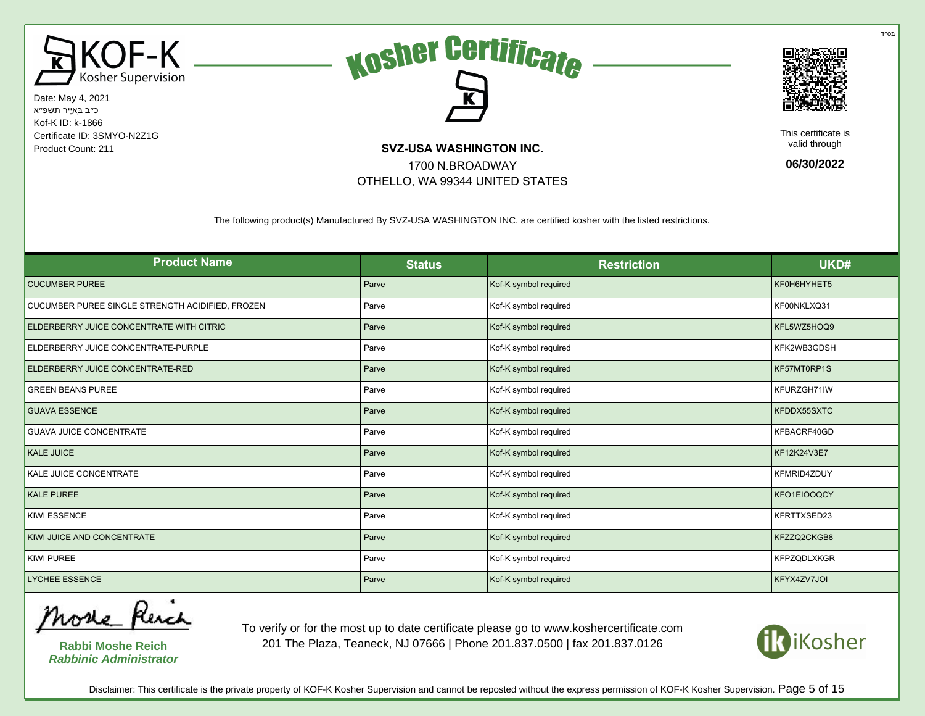





This certificate is valid through

**06/30/2022**

The following product(s) Manufactured By SVZ-USA WASHINGTON INC. are certified kosher with the listed restrictions.

1700 N.BROADWAY OTHELLO, WA 99344 UNITED STATES

| <b>Product Name</b>                              | <b>Status</b> | <b>Restriction</b>    | UKD#               |
|--------------------------------------------------|---------------|-----------------------|--------------------|
| <b>CUCUMBER PUREE</b>                            | Parve         | Kof-K symbol required | KF0H6HYHET5        |
| CUCUMBER PUREE SINGLE STRENGTH ACIDIFIED, FROZEN | Parve         | Kof-K symbol required | KF00NKLXQ31        |
| ELDERBERRY JUICE CONCENTRATE WITH CITRIC         | Parve         | Kof-K symbol required | KFL5WZ5HOQ9        |
| ELDERBERRY JUICE CONCENTRATE-PURPLE              | Parve         | Kof-K symbol required | KFK2WB3GDSH        |
| ELDERBERRY JUICE CONCENTRATE-RED                 | Parve         | Kof-K symbol required | KF57MT0RP1S        |
| <b>GREEN BEANS PUREE</b>                         | Parve         | Kof-K symbol required | KFURZGH71IW        |
| <b>GUAVA ESSENCE</b>                             | Parve         | Kof-K symbol required | KFDDX55SXTC        |
| <b>GUAVA JUICE CONCENTRATE</b>                   | Parve         | Kof-K symbol required | KFBACRF40GD        |
| KALE JUICE                                       | Parve         | Kof-K symbol required | KF12K24V3E7        |
| KALE JUICE CONCENTRATE                           | Parve         | Kof-K symbol required | KFMRID4ZDUY        |
| <b>KALE PUREE</b>                                | Parve         | Kof-K symbol required | KFO1EIOOQCY        |
| <b>KIWI ESSENCE</b>                              | Parve         | Kof-K symbol required | KFRTTXSED23        |
| KIWI JUICE AND CONCENTRATE                       | Parve         | Kof-K symbol required | KFZZQ2CKGB8        |
| <b>KIWI PUREE</b>                                | Parve         | Kof-K symbol required | <b>KFPZQDLXKGR</b> |
| <b>LYCHEE ESSENCE</b>                            | Parve         | Kof-K symbol required | KFYX4ZV7JOI        |

More Revel

**Rabbi Moshe Reich Rabbinic Administrator**

To verify or for the most up to date certificate please go to www.koshercertificate.com 201 The Plaza, Teaneck, NJ 07666 | Phone 201.837.0500 | fax 201.837.0126



Disclaimer: This certificate is the private property of KOF-K Kosher Supervision and cannot be reposted without the express permission of KOF-K Kosher Supervision. Page 5 of 15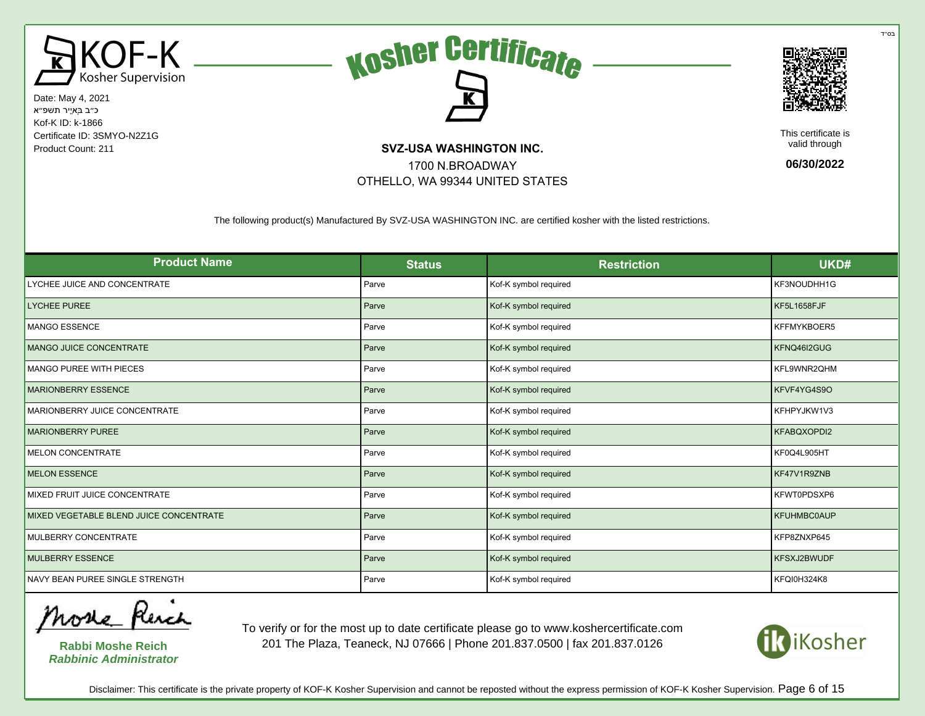





This certificate is valid through

**06/30/2022**

The following product(s) Manufactured By SVZ-USA WASHINGTON INC. are certified kosher with the listed restrictions.

1700 N.BROADWAY OTHELLO, WA 99344 UNITED STATES

| <b>Product Name</b>                     | <b>Status</b> | <b>Restriction</b>    | UKD#               |
|-----------------------------------------|---------------|-----------------------|--------------------|
| LYCHEE JUICE AND CONCENTRATE            | Parve         | Kof-K symbol required | KF3NOUDHH1G        |
| <b>LYCHEE PUREE</b>                     | Parve         | Kof-K symbol required | KF5L1658FJF        |
| <b>MANGO ESSENCE</b>                    | Parve         | Kof-K symbol required | KFFMYKBOER5        |
| MANGO JUICE CONCENTRATE                 | Parve         | Kof-K symbol required | KFNQ46I2GUG        |
| MANGO PUREE WITH PIECES                 | Parve         | Kof-K symbol required | KFL9WNR2QHM        |
| <b>MARIONBERRY ESSENCE</b>              | Parve         | Kof-K symbol required | KFVF4YG4S9O        |
| MARIONBERRY JUICE CONCENTRATE           | Parve         | Kof-K symbol required | KFHPYJKW1V3        |
| <b>MARIONBERRY PUREE</b>                | Parve         | Kof-K symbol required | KFABQXOPDI2        |
| <b>MELON CONCENTRATE</b>                | Parve         | Kof-K symbol required | KF0Q4L905HT        |
| <b>MELON ESSENCE</b>                    | Parve         | Kof-K symbol required | KF47V1R9ZNB        |
| MIXED FRUIT JUICE CONCENTRATE           | Parve         | Kof-K symbol required | KFWT0PDSXP6        |
| MIXED VEGETABLE BLEND JUICE CONCENTRATE | Parve         | Kof-K symbol required | <b>KFUHMBC0AUP</b> |
| MULBERRY CONCENTRATE                    | Parve         | Kof-K symbol required | KFP8ZNXP645        |
| <b>MULBERRY ESSENCE</b>                 | Parve         | Kof-K symbol required | KFSXJ2BWUDF        |
| NAVY BEAN PUREE SINGLE STRENGTH         | Parve         | Kof-K symbol required | <b>KFQI0H324K8</b> |

More Rench

**Rabbi Moshe Reich Rabbinic Administrator**

To verify or for the most up to date certificate please go to www.koshercertificate.com 201 The Plaza, Teaneck, NJ 07666 | Phone 201.837.0500 | fax 201.837.0126



Disclaimer: This certificate is the private property of KOF-K Kosher Supervision and cannot be reposted without the express permission of KOF-K Kosher Supervision. Page 6 of 15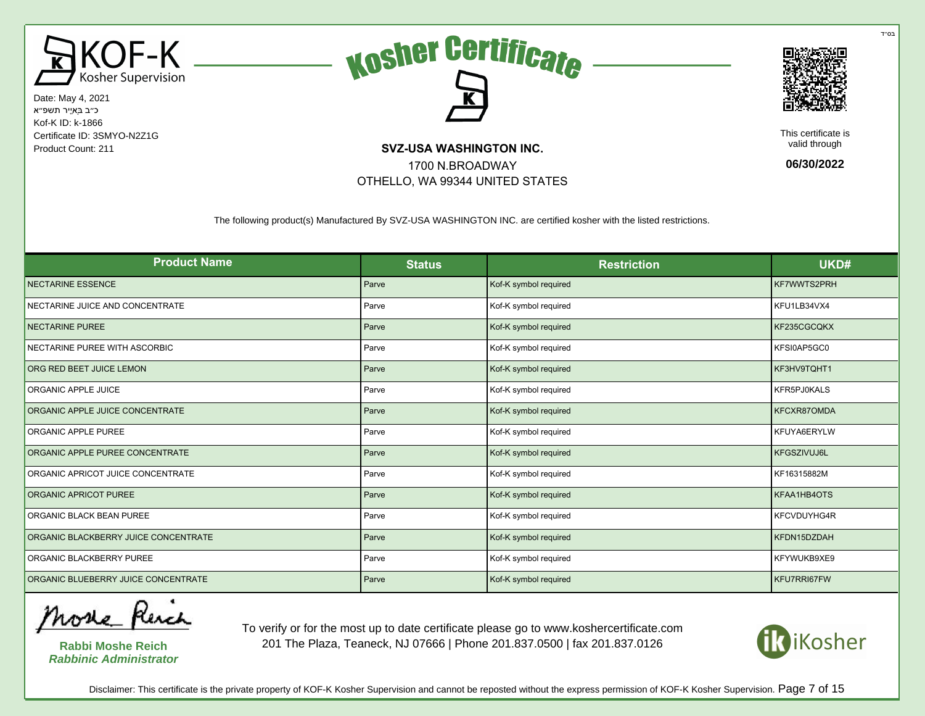





This certificate is valid through

**06/30/2022**

The following product(s) Manufactured By SVZ-USA WASHINGTON INC. are certified kosher with the listed restrictions.

1700 N.BROADWAY OTHELLO, WA 99344 UNITED STATES

| <b>Product Name</b>                  | <b>Status</b> | <b>Restriction</b>    | UKD#               |
|--------------------------------------|---------------|-----------------------|--------------------|
| <b>NECTARINE ESSENCE</b>             | Parve         | Kof-K symbol required | KF7WWTS2PRH        |
| NECTARINE JUICE AND CONCENTRATE      | Parve         | Kof-K symbol required | KFU1LB34VX4        |
| <b>NECTARINE PUREE</b>               | Parve         | Kof-K symbol required | KF235CGCQKX        |
| NECTARINE PUREE WITH ASCORBIC        | Parve         | Kof-K symbol required | KFSI0AP5GC0        |
| ORG RED BEET JUICE LEMON             | Parve         | Kof-K symbol required | KF3HV9TQHT1        |
| ORGANIC APPLE JUICE                  | Parve         | Kof-K symbol required | KFR5PJ0KALS        |
| ORGANIC APPLE JUICE CONCENTRATE      | Parve         | Kof-K symbol required | KFCXR87OMDA        |
| ORGANIC APPLE PUREE                  | Parve         | Kof-K symbol required | KFUYA6ERYLW        |
| ORGANIC APPLE PUREE CONCENTRATE      | Parve         | Kof-K symbol required | <b>KFGSZIVUJ6L</b> |
| ORGANIC APRICOT JUICE CONCENTRATE    | Parve         | Kof-K symbol required | KF16315882M        |
| ORGANIC APRICOT PUREE                | Parve         | Kof-K symbol required | KFAA1HB4OTS        |
| ORGANIC BLACK BEAN PUREE             | Parve         | Kof-K symbol required | <b>KFCVDUYHG4R</b> |
| ORGANIC BLACKBERRY JUICE CONCENTRATE | Parve         | Kof-K symbol required | KFDN15DZDAH        |
| ORGANIC BLACKBERRY PUREE             | Parve         | Kof-K symbol required | KFYWUKB9XE9        |
| ORGANIC BLUEBERRY JUICE CONCENTRATE  | Parve         | Kof-K symbol required | KFU7RRI67FW        |

More Rench

**Rabbi Moshe Reich Rabbinic Administrator**

To verify or for the most up to date certificate please go to www.koshercertificate.com 201 The Plaza, Teaneck, NJ 07666 | Phone 201.837.0500 | fax 201.837.0126



בּס״ד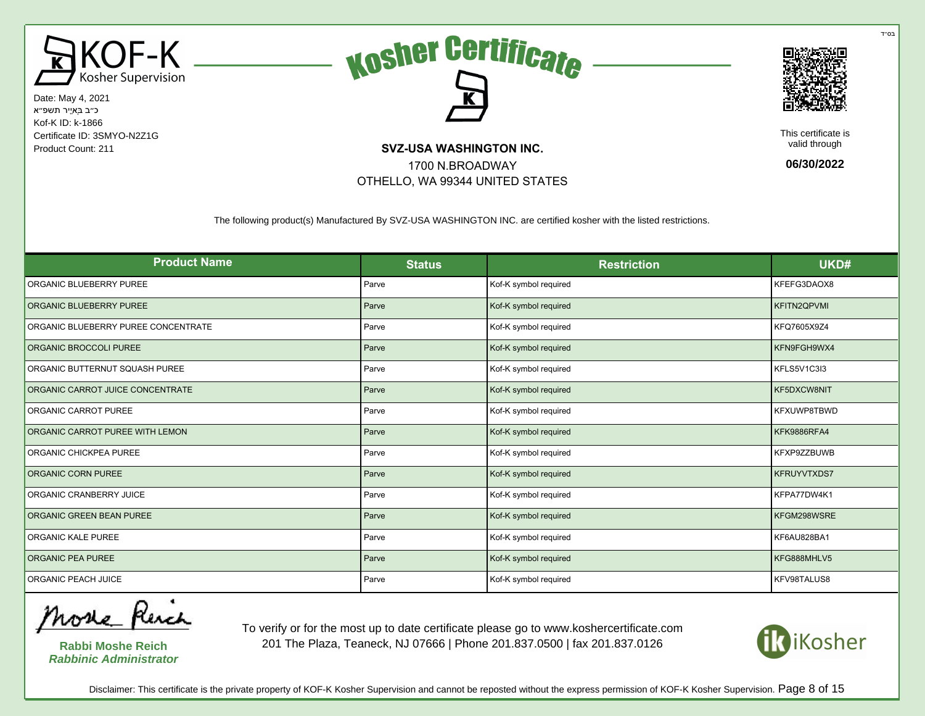





This certificate is valid through

**06/30/2022**

The following product(s) Manufactured By SVZ-USA WASHINGTON INC. are certified kosher with the listed restrictions.

1700 N.BROADWAY OTHELLO, WA 99344 UNITED STATES

| <b>Product Name</b>                 | <b>Status</b> | <b>Restriction</b>    | UKD#               |
|-------------------------------------|---------------|-----------------------|--------------------|
| ORGANIC BLUEBERRY PUREE             | Parve         | Kof-K symbol required | KFEFG3DAOX8        |
| ORGANIC BLUEBERRY PUREE             | Parve         | Kof-K symbol required | <b>KFITN2QPVMI</b> |
| ORGANIC BLUEBERRY PUREE CONCENTRATE | Parve         | Kof-K symbol required | KFQ7605X9Z4        |
| ORGANIC BROCCOLI PUREE              | Parve         | Kof-K symbol required | KFN9FGH9WX4        |
| ORGANIC BUTTERNUT SQUASH PUREE      | Parve         | Kof-K symbol required | KFLS5V1C3I3        |
| ORGANIC CARROT JUICE CONCENTRATE    | Parve         | Kof-K symbol required | KF5DXCW8NIT        |
| ORGANIC CARROT PUREE                | Parve         | Kof-K symbol required | KFXUWP8TBWD        |
| ORGANIC CARROT PUREE WITH LEMON     | Parve         | Kof-K symbol required | KFK9886RFA4        |
| ORGANIC CHICKPEA PUREE              | Parve         | Kof-K symbol required | KFXP9ZZBUWB        |
| ORGANIC CORN PUREE                  | Parve         | Kof-K symbol required | <b>KFRUYVTXDS7</b> |
| ORGANIC CRANBERRY JUICE             | Parve         | Kof-K symbol required | KFPA77DW4K1        |
| ORGANIC GREEN BEAN PUREE            | Parve         | Kof-K symbol required | KFGM298WSRE        |
| ORGANIC KALE PUREE                  | Parve         | Kof-K symbol required | KF6AU828BA1        |
| <b>ORGANIC PEA PUREE</b>            | Parve         | Kof-K symbol required | KFG888MHLV5        |
| ORGANIC PEACH JUICE                 | Parve         | Kof-K symbol required | KFV98TALUS8        |

More Rench

**Rabbi Moshe Reich Rabbinic Administrator**

To verify or for the most up to date certificate please go to www.koshercertificate.com 201 The Plaza, Teaneck, NJ 07666 | Phone 201.837.0500 | fax 201.837.0126



Disclaimer: This certificate is the private property of KOF-K Kosher Supervision and cannot be reposted without the express permission of KOF-K Kosher Supervision. Page 8 of 15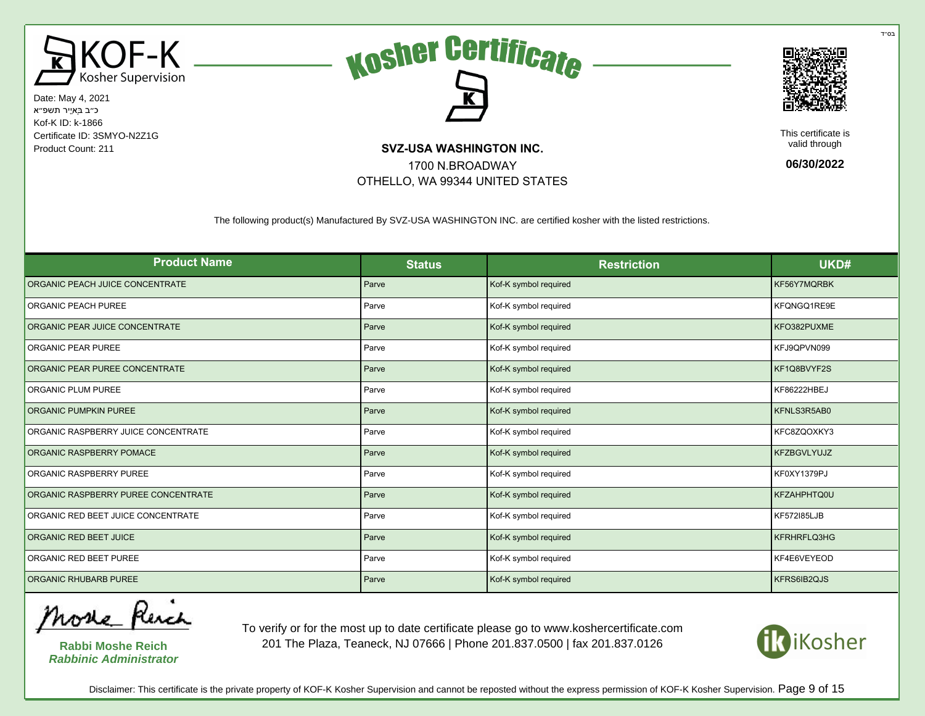





This certificate is valid through

**06/30/2022**

The following product(s) Manufactured By SVZ-USA WASHINGTON INC. are certified kosher with the listed restrictions.

1700 N.BROADWAY OTHELLO, WA 99344 UNITED STATES

| <b>Product Name</b>                 | <b>Status</b> | <b>Restriction</b>    | UKD#               |
|-------------------------------------|---------------|-----------------------|--------------------|
| ORGANIC PEACH JUICE CONCENTRATE     | Parve         | Kof-K symbol required | KF56Y7MQRBK        |
| <b>ORGANIC PEACH PUREE</b>          | Parve         | Kof-K symbol required | KFQNGQ1RE9E        |
| ORGANIC PEAR JUICE CONCENTRATE      | Parve         | Kof-K symbol required | KFO382PUXME        |
| ORGANIC PEAR PUREE                  | Parve         | Kof-K symbol required | KFJ9QPVN099        |
| ORGANIC PEAR PUREE CONCENTRATE      | Parve         | Kof-K symbol required | KF1Q8BVYF2S        |
| ORGANIC PLUM PUREE                  | Parve         | Kof-K symbol required | KF86222HBEJ        |
| <b>ORGANIC PUMPKIN PUREE</b>        | Parve         | Kof-K symbol required | KFNLS3R5AB0        |
| ORGANIC RASPBERRY JUICE CONCENTRATE | Parve         | Kof-K symbol required | KFC8ZQOXKY3        |
| ORGANIC RASPBERRY POMACE            | Parve         | Kof-K symbol required | <b>KFZBGVLYUJZ</b> |
| ORGANIC RASPBERRY PUREE             | Parve         | Kof-K symbol required | KF0XY1379PJ        |
| ORGANIC RASPBERRY PUREE CONCENTRATE | Parve         | Kof-K symbol required | KFZAHPHTQ0U        |
| ORGANIC RED BEET JUICE CONCENTRATE  | Parve         | Kof-K symbol required | KF572185LJB        |
| ORGANIC RED BEET JUICE              | Parve         | Kof-K symbol required | KFRHRFLQ3HG        |
| ORGANIC RED BEET PUREE              | Parve         | Kof-K symbol required | KF4E6VEYEOD        |
| <b>ORGANIC RHUBARB PUREE</b>        | Parve         | Kof-K symbol required | KFRS6IB2QJS        |

More Revel

**Rabbi Moshe Reich Rabbinic Administrator**

To verify or for the most up to date certificate please go to www.koshercertificate.com 201 The Plaza, Teaneck, NJ 07666 | Phone 201.837.0500 | fax 201.837.0126



Disclaimer: This certificate is the private property of KOF-K Kosher Supervision and cannot be reposted without the express permission of KOF-K Kosher Supervision. Page 9 of 15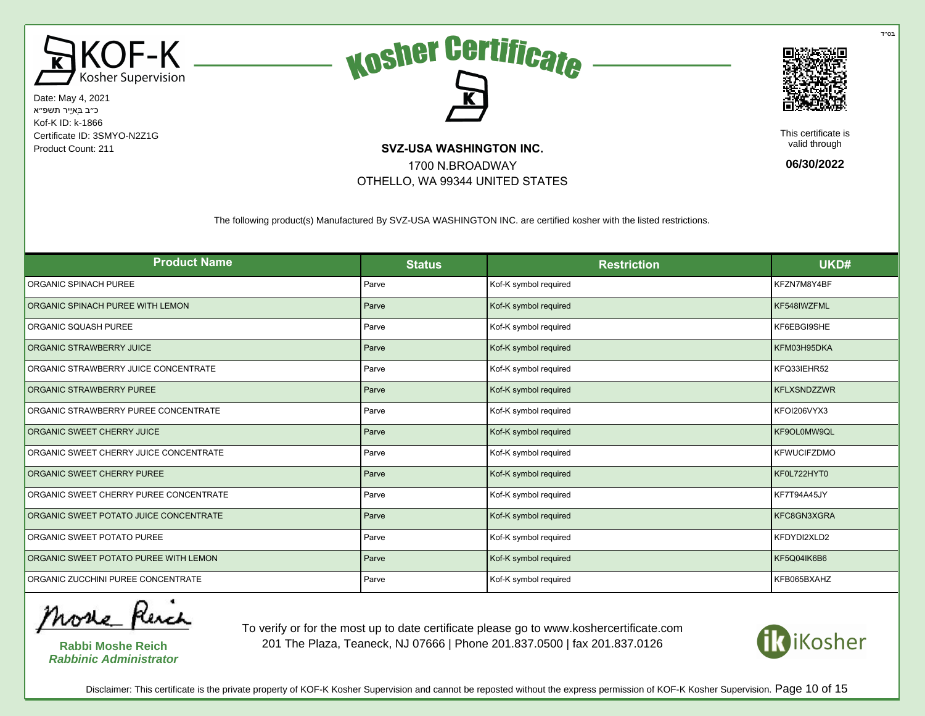





This certificate is valid through

**06/30/2022**

The following product(s) Manufactured By SVZ-USA WASHINGTON INC. are certified kosher with the listed restrictions.

1700 N.BROADWAY OTHELLO, WA 99344 UNITED STATES

| <b>Product Name</b>                    | <b>Status</b> | <b>Restriction</b>    | UKD#               |
|----------------------------------------|---------------|-----------------------|--------------------|
| ORGANIC SPINACH PUREE                  | Parve         | Kof-K symbol required | KFZN7M8Y4BF        |
| ORGANIC SPINACH PUREE WITH LEMON       | Parve         | Kof-K symbol required | KF548IWZFML        |
| ORGANIC SQUASH PUREE                   | Parve         | Kof-K symbol required | KF6EBGI9SHE        |
| ORGANIC STRAWBERRY JUICE               | Parve         | Kof-K symbol required | KFM03H95DKA        |
| ORGANIC STRAWBERRY JUICE CONCENTRATE   | Parve         | Kof-K symbol required | KFQ33IEHR52        |
| ORGANIC STRAWBERRY PUREE               | Parve         | Kof-K symbol required | <b>KFLXSNDZZWR</b> |
| ORGANIC STRAWBERRY PUREE CONCENTRATE   | Parve         | Kof-K symbol required | KFOI206VYX3        |
| ORGANIC SWEET CHERRY JUICE             | Parve         | Kof-K symbol required | KF9OL0MW9QL        |
| ORGANIC SWEET CHERRY JUICE CONCENTRATE | Parve         | Kof-K symbol required | <b>KFWUCIFZDMO</b> |
| ORGANIC SWEET CHERRY PUREE             | Parve         | Kof-K symbol required | KF0L722HYT0        |
| ORGANIC SWEET CHERRY PUREE CONCENTRATE | Parve         | Kof-K symbol required | KF7T94A45JY        |
| ORGANIC SWEET POTATO JUICE CONCENTRATE | Parve         | Kof-K symbol required | KFC8GN3XGRA        |
| ORGANIC SWEET POTATO PUREE             | Parve         | Kof-K symbol required | KFDYDI2XLD2        |
| ORGANIC SWEET POTATO PUREE WITH LEMON  | Parve         | Kof-K symbol required | KF5Q04IK6B6        |
| ORGANIC ZUCCHINI PUREE CONCENTRATE     | Parve         | Kof-K symbol required | KFB065BXAHZ        |

More Rench

**Rabbi Moshe Reich Rabbinic Administrator**

To verify or for the most up to date certificate please go to www.koshercertificate.com 201 The Plaza, Teaneck, NJ 07666 | Phone 201.837.0500 | fax 201.837.0126



בּס״ד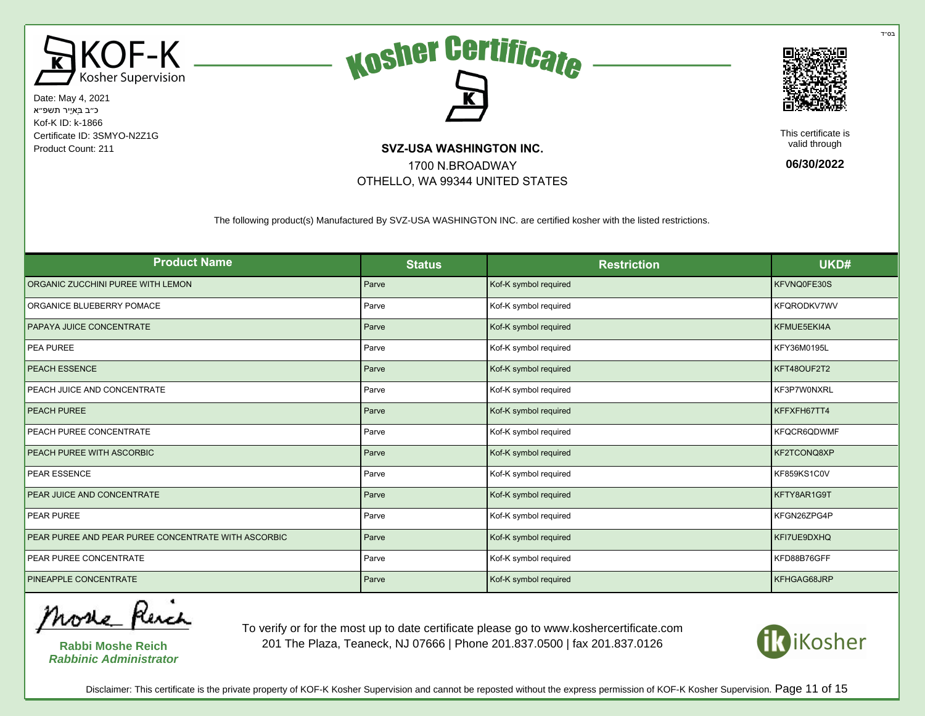





This certificate is valid through

**06/30/2022**

The following product(s) Manufactured By SVZ-USA WASHINGTON INC. are certified kosher with the listed restrictions.

1700 N.BROADWAY OTHELLO, WA 99344 UNITED STATES

| <b>Product Name</b>                                 | <b>Status</b> | <b>Restriction</b>    | UKD#        |
|-----------------------------------------------------|---------------|-----------------------|-------------|
| ORGANIC ZUCCHINI PUREE WITH LEMON                   | Parve         | Kof-K symbol required | KFVNQ0FE30S |
| ORGANICE BLUEBERRY POMACE                           | Parve         | Kof-K symbol required | KFQRODKV7WV |
| PAPAYA JUICE CONCENTRATE                            | Parve         | Kof-K symbol required | KFMUE5EKI4A |
| PEA PUREE                                           | Parve         | Kof-K symbol required | KFY36M0195L |
| <b>PEACH ESSENCE</b>                                | Parve         | Kof-K symbol required | KFT48OUF2T2 |
| PEACH JUICE AND CONCENTRATE                         | Parve         | Kof-K symbol required | KF3P7W0NXRL |
| PEACH PUREE                                         | Parve         | Kof-K symbol required | KFFXFH67TT4 |
| PEACH PUREE CONCENTRATE                             | Parve         | Kof-K symbol required | KFQCR6QDWMF |
| PEACH PUREE WITH ASCORBIC                           | Parve         | Kof-K symbol required | KF2TCONQ8XP |
| <b>PEAR ESSENCE</b>                                 | Parve         | Kof-K symbol required | KF859KS1C0V |
| PEAR JUICE AND CONCENTRATE                          | Parve         | Kof-K symbol required | KFTY8AR1G9T |
| PEAR PUREE                                          | Parve         | Kof-K symbol required | KFGN26ZPG4P |
| PEAR PUREE AND PEAR PUREE CONCENTRATE WITH ASCORBIC | Parve         | Kof-K symbol required | KFI7UE9DXHQ |
| PEAR PUREE CONCENTRATE                              | Parve         | Kof-K symbol required | KFD88B76GFF |
| PINEAPPLE CONCENTRATE                               | Parve         | Kof-K symbol required | KFHGAG68JRP |

More Rench

**Rabbi Moshe Reich Rabbinic Administrator**

To verify or for the most up to date certificate please go to www.koshercertificate.com 201 The Plaza, Teaneck, NJ 07666 | Phone 201.837.0500 | fax 201.837.0126



Disclaimer: This certificate is the private property of KOF-K Kosher Supervision and cannot be reposted without the express permission of KOF-K Kosher Supervision. Page 11 of 15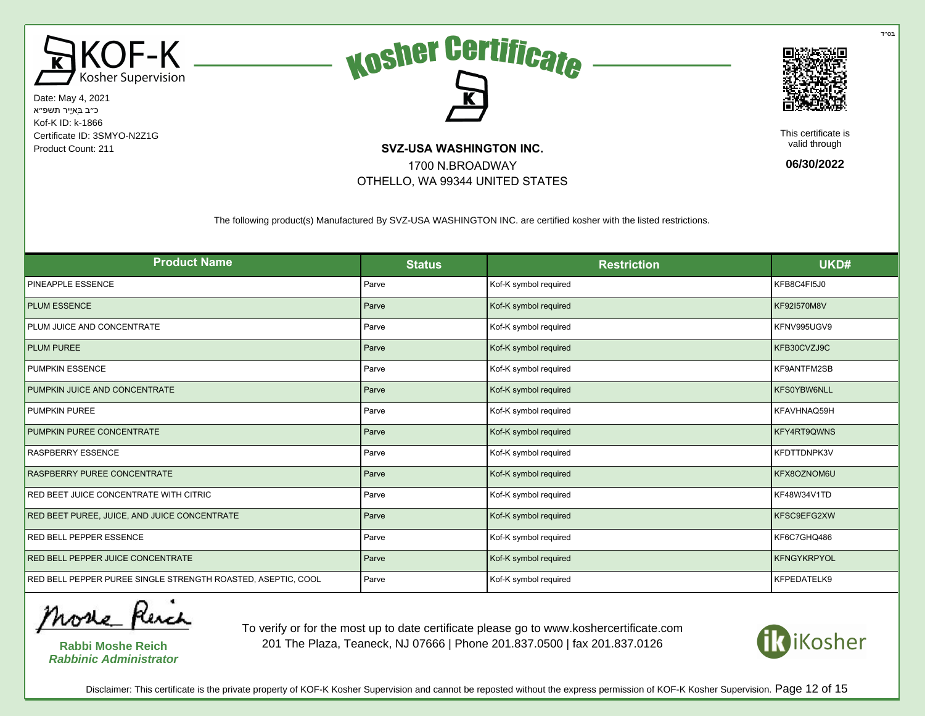





This certificate is valid through

**06/30/2022**

The following product(s) Manufactured By SVZ-USA WASHINGTON INC. are certified kosher with the listed restrictions.

1700 N.BROADWAY OTHELLO, WA 99344 UNITED STATES

| <b>Product Name</b>                                          | <b>Status</b> | <b>Restriction</b>    | UKD#               |
|--------------------------------------------------------------|---------------|-----------------------|--------------------|
| PINEAPPLE ESSENCE                                            | Parve         | Kof-K symbol required | KFB8C4FI5J0        |
| <b>PLUM ESSENCE</b>                                          | Parve         | Kof-K symbol required | KF92I570M8V        |
| PLUM JUICE AND CONCENTRATE                                   | Parve         | Kof-K symbol required | KFNV995UGV9        |
| <b>PLUM PUREE</b>                                            | Parve         | Kof-K symbol required | KFB30CVZJ9C        |
| <b>PUMPKIN ESSENCE</b>                                       | Parve         | Kof-K symbol required | KF9ANTFM2SB        |
| PUMPKIN JUICE AND CONCENTRATE                                | Parve         | Kof-K symbol required | KFS0YBW6NLL        |
| <b>PUMPKIN PUREE</b>                                         | Parve         | Kof-K symbol required | KFAVHNAQ59H        |
| PUMPKIN PUREE CONCENTRATE                                    | Parve         | Kof-K symbol required | KFY4RT9QWNS        |
| <b>RASPBERRY ESSENCE</b>                                     | Parve         | Kof-K symbol required | KFDTTDNPK3V        |
| RASPBERRY PUREE CONCENTRATE                                  | Parve         | Kof-K symbol required | KFX8OZNOM6U        |
| RED BEET JUICE CONCENTRATE WITH CITRIC                       | Parve         | Kof-K symbol required | KF48W34V1TD        |
| RED BEET PUREE, JUICE, AND JUICE CONCENTRATE                 | Parve         | Kof-K symbol required | KFSC9EFG2XW        |
| RED BELL PEPPER ESSENCE                                      | Parve         | Kof-K symbol required | KF6C7GHQ486        |
| RED BELL PEPPER JUICE CONCENTRATE                            | Parve         | Kof-K symbol required | <b>KFNGYKRPYOL</b> |
| RED BELL PEPPER PUREE SINGLE STRENGTH ROASTED, ASEPTIC, COOL | Parve         | Kof-K symbol required | KFPEDATELK9        |

More Rench

**Rabbi Moshe Reich Rabbinic Administrator**

To verify or for the most up to date certificate please go to www.koshercertificate.com 201 The Plaza, Teaneck, NJ 07666 | Phone 201.837.0500 | fax 201.837.0126



Disclaimer: This certificate is the private property of KOF-K Kosher Supervision and cannot be reposted without the express permission of KOF-K Kosher Supervision. Page 12 of 15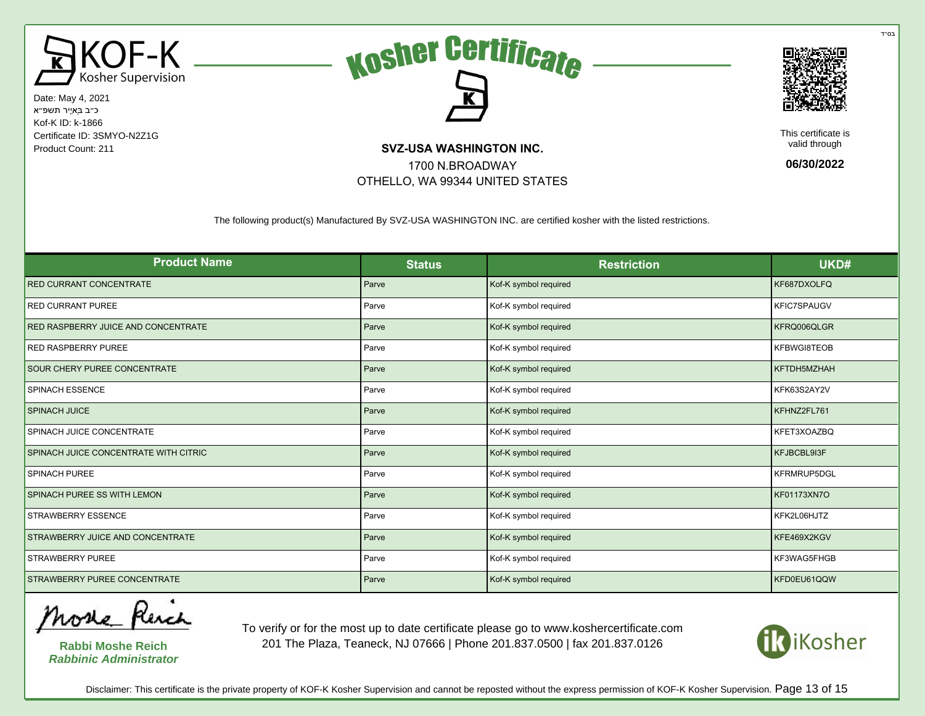





This certificate is valid through

**06/30/2022**

The following product(s) Manufactured By SVZ-USA WASHINGTON INC. are certified kosher with the listed restrictions.

1700 N.BROADWAY OTHELLO, WA 99344 UNITED STATES

| <b>Product Name</b>                   | <b>Status</b> | <b>Restriction</b>    | UKD#               |
|---------------------------------------|---------------|-----------------------|--------------------|
| <b>RED CURRANT CONCENTRATE</b>        | Parve         | Kof-K symbol required | KF687DXOLFQ        |
| <b>RED CURRANT PUREE</b>              | Parve         | Kof-K symbol required | <b>KFIC7SPAUGV</b> |
| RED RASPBERRY JUICE AND CONCENTRATE   | Parve         | Kof-K symbol required | KFRQ006QLGR        |
| <b>RED RASPBERRY PUREE</b>            | Parve         | Kof-K symbol required | KFBWGI8TEOB        |
| SOUR CHERY PUREE CONCENTRATE          | Parve         | Kof-K symbol required | KFTDH5MZHAH        |
| <b>SPINACH ESSENCE</b>                | Parve         | Kof-K symbol required | KFK63S2AY2V        |
| <b>SPINACH JUICE</b>                  | Parve         | Kof-K symbol required | KFHNZ2FL761        |
| SPINACH JUICE CONCENTRATE             | Parve         | Kof-K symbol required | KFET3XOAZBQ        |
| SPINACH JUICE CONCENTRATE WITH CITRIC | Parve         | Kof-K symbol required | KFJBCBL9I3F        |
| SPINACH PUREE                         | Parve         | Kof-K symbol required | <b>KFRMRUP5DGL</b> |
| SPINACH PUREE SS WITH LEMON           | Parve         | Kof-K symbol required | KF01173XN7O        |
| STRAWBERRY ESSENCE                    | Parve         | Kof-K symbol required | KFK2L06HJTZ        |
| STRAWBERRY JUICE AND CONCENTRATE      | Parve         | Kof-K symbol required | KFE469X2KGV        |
| <b>STRAWBERRY PUREE</b>               | Parve         | Kof-K symbol required | KF3WAG5FHGB        |
| STRAWBERRY PUREE CONCENTRATE          | Parve         | Kof-K symbol required | KFD0EU61QQW        |

More Rench

**Rabbi Moshe Reich Rabbinic Administrator**

To verify or for the most up to date certificate please go to www.koshercertificate.com 201 The Plaza, Teaneck, NJ 07666 | Phone 201.837.0500 | fax 201.837.0126



Disclaimer: This certificate is the private property of KOF-K Kosher Supervision and cannot be reposted without the express permission of KOF-K Kosher Supervision. Page 13 of 15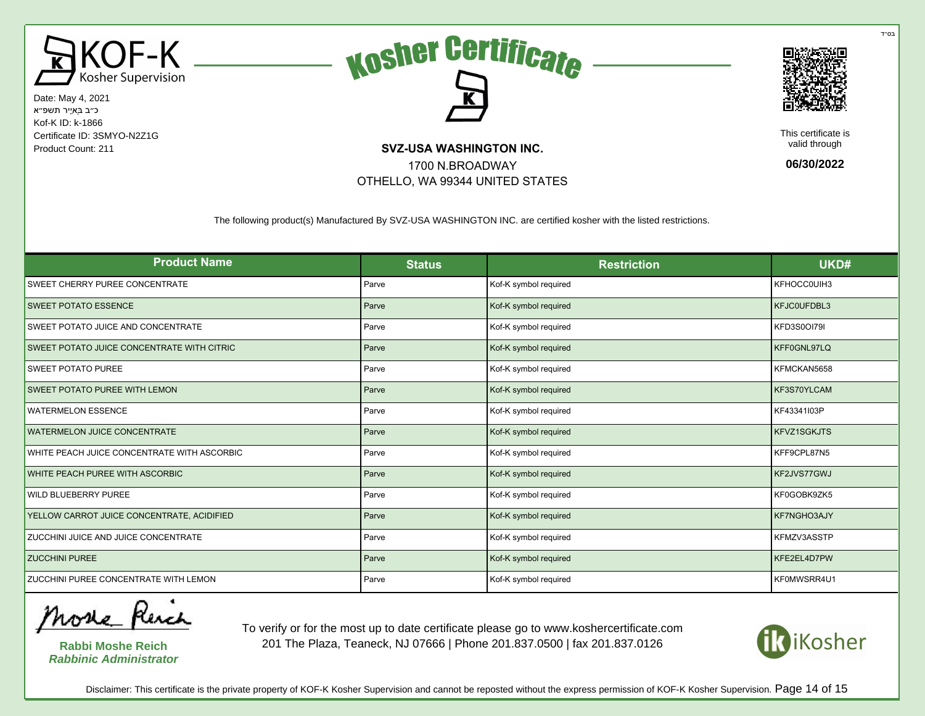





This certificate is valid through

**06/30/2022**

The following product(s) Manufactured By SVZ-USA WASHINGTON INC. are certified kosher with the listed restrictions.

1700 N.BROADWAY OTHELLO, WA 99344 UNITED STATES

| <b>Product Name</b>                         | <b>Status</b> | <b>Restriction</b>    | UKD#               |
|---------------------------------------------|---------------|-----------------------|--------------------|
| SWEET CHERRY PUREE CONCENTRATE              | Parve         | Kof-K symbol required | KFHOCC0UIH3        |
| <b>SWEET POTATO ESSENCE</b>                 | Parve         | Kof-K symbol required | KFJC0UFDBL3        |
| SWEET POTATO JUICE AND CONCENTRATE          | Parve         | Kof-K symbol required | KFD3S0OI79I        |
| SWEET POTATO JUICE CONCENTRATE WITH CITRIC  | Parve         | Kof-K symbol required | KFF0GNL97LQ        |
| <b>SWEET POTATO PUREE</b>                   | Parve         | Kof-K symbol required | KFMCKAN5658        |
| <b>SWEET POTATO PUREE WITH LEMON</b>        | Parve         | Kof-K symbol required | KF3S70YLCAM        |
| <b>WATERMELON ESSENCE</b>                   | Parve         | Kof-K symbol required | KF43341I03P        |
| <b>WATERMELON JUICE CONCENTRATE</b>         | Parve         | Kof-K symbol required | <b>KFVZ1SGKJTS</b> |
| WHITE PEACH JUICE CONCENTRATE WITH ASCORBIC | Parve         | Kof-K symbol required | KFF9CPL87N5        |
| WHITE PEACH PUREE WITH ASCORBIC             | Parve         | Kof-K symbol required | KF2JVS77GWJ        |
| <b>WILD BLUEBERRY PUREE</b>                 | Parve         | Kof-K symbol required | KF0GOBK9ZK5        |
| YELLOW CARROT JUICE CONCENTRATE, ACIDIFIED  | Parve         | Kof-K symbol required | KF7NGHO3AJY        |
| ZUCCHINI JUICE AND JUICE CONCENTRATE        | Parve         | Kof-K symbol required | KFMZV3ASSTP        |
| <b>ZUCCHINI PUREE</b>                       | Parve         | Kof-K symbol required | KFE2EL4D7PW        |
| ZUCCHINI PUREE CONCENTRATE WITH LEMON       | Parve         | Kof-K symbol required | KF0MWSRR4U1        |

More Rench

**Rabbi Moshe Reich Rabbinic Administrator**

To verify or for the most up to date certificate please go to www.koshercertificate.com 201 The Plaza, Teaneck, NJ 07666 | Phone 201.837.0500 | fax 201.837.0126



בּס״ד